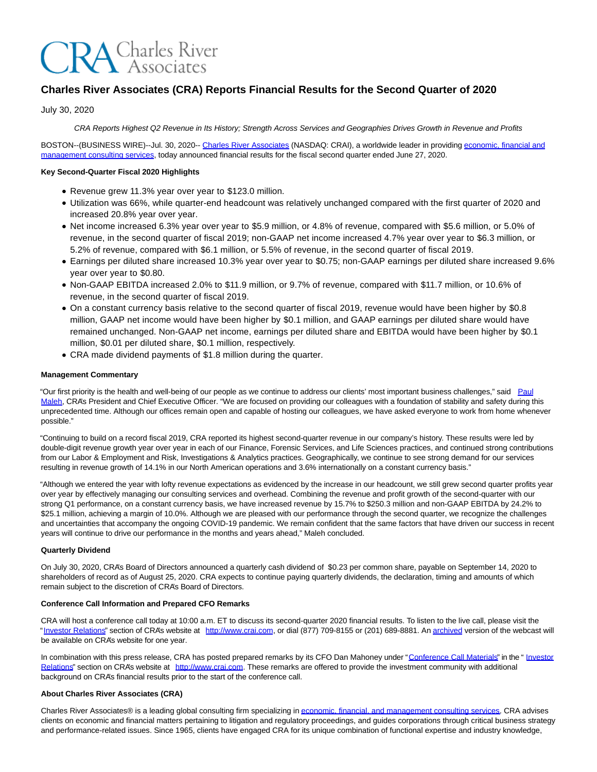# **CRA** Charles River

# **Charles River Associates (CRA) Reports Financial Results for the Second Quarter of 2020**

July 30, 2020

CRA Reports Highest Q2 Revenue in Its History; Strength Across Services and Geographies Drives Growth in Revenue and Profits

BOSTON--(BUSINESS WIRE)--Jul. 30, 2020-- [Charles River Associates \(](https://cts.businesswire.com/ct/CT?id=smartlink&url=http%3A%2F%2Fwww.crai.com%2FDefault.aspx&esheet=52258118&newsitemid=20200730005500&lan=en-US&anchor=Charles+River+Associates&index=1&md5=074230e971a877dfb80e59609cbb2f06)NASDAQ: CRAI), a worldwide leader in providin[g economic, financial and](https://cts.businesswire.com/ct/CT?id=smartlink&url=http%3A%2F%2Fwww.crai.com%2F&esheet=52258118&newsitemid=20200730005500&lan=en-US&anchor=economic%2C+financial+and+management+consulting+services&index=2&md5=6dbe6d4c59ebf6ad6782f3d187814090) management consulting services, today announced financial results for the fiscal second quarter ended June 27, 2020.

#### **Key Second-Quarter Fiscal 2020 Highlights**

- Revenue grew 11.3% year over year to \$123.0 million.
- Utilization was 66%, while quarter-end headcount was relatively unchanged compared with the first quarter of 2020 and increased 20.8% year over year.
- Net income increased 6.3% year over year to \$5.9 million, or 4.8% of revenue, compared with \$5.6 million, or 5.0% of revenue, in the second quarter of fiscal 2019; non-GAAP net income increased 4.7% year over year to \$6.3 million, or 5.2% of revenue, compared with \$6.1 million, or 5.5% of revenue, in the second quarter of fiscal 2019.
- Earnings per diluted share increased 10.3% year over year to \$0.75; non-GAAP earnings per diluted share increased 9.6% year over year to \$0.80.
- Non-GAAP EBITDA increased 2.0% to \$11.9 million, or 9.7% of revenue, compared with \$11.7 million, or 10.6% of revenue, in the second quarter of fiscal 2019.
- On a constant currency basis relative to the second quarter of fiscal 2019, revenue would have been higher by \$0.8 million, GAAP net income would have been higher by \$0.1 million, and GAAP earnings per diluted share would have remained unchanged. Non-GAAP net income, earnings per diluted share and EBITDA would have been higher by \$0.1 million, \$0.01 per diluted share, \$0.1 million, respectively.
- CRA made dividend payments of \$1.8 million during the quarter.

#### **Management Commentary**

"Our first priority is the health and well-being of our people as we continue to address our clients' most important business challenges," said [Paul](https://cts.businesswire.com/ct/CT?id=smartlink&url=http%3A%2F%2Fwww.crai.com%2Fexpert%2Fpaul-maleh&esheet=52258118&newsitemid=20200730005500&lan=en-US&anchor=Paul+Maleh&index=3&md5=728e87dd34e1f67e8d8cffeaba9cf218) Maleh, CRA's President and Chief Executive Officer. "We are focused on providing our colleagues with a foundation of stability and safety during this unprecedented time. Although our offices remain open and capable of hosting our colleagues, we have asked everyone to work from home whenever possible."

"Continuing to build on a record fiscal 2019, CRA reported its highest second-quarter revenue in our company's history. These results were led by double-digit revenue growth year over year in each of our Finance, Forensic Services, and Life Sciences practices, and continued strong contributions from our Labor & Employment and Risk, Investigations & Analytics practices. Geographically, we continue to see strong demand for our services resulting in revenue growth of 14.1% in our North American operations and 3.6% internationally on a constant currency basis."

"Although we entered the year with lofty revenue expectations as evidenced by the increase in our headcount, we still grew second quarter profits year over year by effectively managing our consulting services and overhead. Combining the revenue and profit growth of the second-quarter with our strong Q1 performance, on a constant currency basis, we have increased revenue by 15.7% to \$250.3 million and non-GAAP EBITDA by 24.2% to \$25.1 million, achieving a margin of 10.0%. Although we are pleased with our performance through the second quarter, we recognize the challenges and uncertainties that accompany the ongoing COVID-19 pandemic. We remain confident that the same factors that have driven our success in recent years will continue to drive our performance in the months and years ahead," Maleh concluded.

#### **Quarterly Dividend**

On July 30, 2020, CRA's Board of Directors announced a quarterly cash dividend of \$0.23 per common share, payable on September 14, 2020 to shareholders of record as of August 25, 2020. CRA expects to continue paying quarterly dividends, the declaration, timing and amounts of which remain subject to the discretion of CRA's Board of Directors.

#### **Conference Call Information and Prepared CFO Remarks**

CRA will host a conference call today at 10:00 a.m. ET to discuss its second-quarter 2020 financial results. To listen to the live call, please visit the ["Investor Relations"](https://cts.businesswire.com/ct/CT?id=smartlink&url=https%3A%2F%2Fcrainternationalinc.gcs-web.com%2Finvestor-overview&esheet=52258118&newsitemid=20200730005500&lan=en-US&anchor=Investor+Relations&index=4&md5=92efc6b194891077628918191445278f) section of CRA's website at [http://www.crai.com,](https://cts.businesswire.com/ct/CT?id=smartlink&url=http%3A%2F%2Fwww.crai.com%2FDefault.aspx&esheet=52258118&newsitemid=20200730005500&lan=en-US&anchor=http%3A%2F%2Fwww.crai.com&index=5&md5=effbb76fe572a5fe226f4e51cb473b6a) or dial (877) 709-8155 or (201) 689-8881. A[n archived v](https://cts.businesswire.com/ct/CT?id=smartlink&url=https%3A%2F%2Fcrainternationalinc.gcs-web.com%2Fevents-and-presentations%2Fpast-event&esheet=52258118&newsitemid=20200730005500&lan=en-US&anchor=archived&index=6&md5=d06e2a1bae825ea94097b7672f73a5b0)ersion of the webcast will be available on CRA's website for one year.

In combination with this press release, CRA has posted prepared remarks by its CFO Dan Mahoney under ["Conference Call Materials"](https://cts.businesswire.com/ct/CT?id=smartlink&url=https%3A%2F%2Fcrainternationalinc.gcs-web.com%2Ffinancial-information%2Fquarterly-results&esheet=52258118&newsitemid=20200730005500&lan=en-US&anchor=Conference+Call+Materials&index=7&md5=4db976e24401d1b6d2d1cddc0320cca1) in the " [Investor](https://cts.businesswire.com/ct/CT?id=smartlink&url=https%3A%2F%2Fcrainternationalinc.gcs-web.com%2Finvestor-overview&esheet=52258118&newsitemid=20200730005500&lan=en-US&anchor=Investor+Relations&index=8&md5=dbf5d6bb25ac64f8ce94c6141197f247) Relations" section on CRA's website at [http://www.crai.com.](https://cts.businesswire.com/ct/CT?id=smartlink&url=http%3A%2F%2Fwww.crai.com%2FDefault.aspx&esheet=52258118&newsitemid=20200730005500&lan=en-US&anchor=http%3A%2F%2Fwww.crai.com&index=9&md5=9c3ecab6261411c23035419c11dfd771) These remarks are offered to provide the investment community with additional background on CRA's financial results prior to the start of the conference call.

#### **About Charles River Associates (CRA)**

Charles River Associates® is a leading global consulting firm specializing i[n economic, financial, and management consulting services.](https://cts.businesswire.com/ct/CT?id=smartlink&url=http%3A%2F%2Fwww.crai.com%2F&esheet=52258118&newsitemid=20200730005500&lan=en-US&anchor=economic%2C+financial%2C+and+management+consulting+services&index=10&md5=689a7dca078278f32af2ac0aa5ac00a1) CRA advises clients on economic and financial matters pertaining to litigation and regulatory proceedings, and guides corporations through critical business strategy and performance-related issues. Since 1965, clients have engaged CRA for its unique combination of functional expertise and industry knowledge,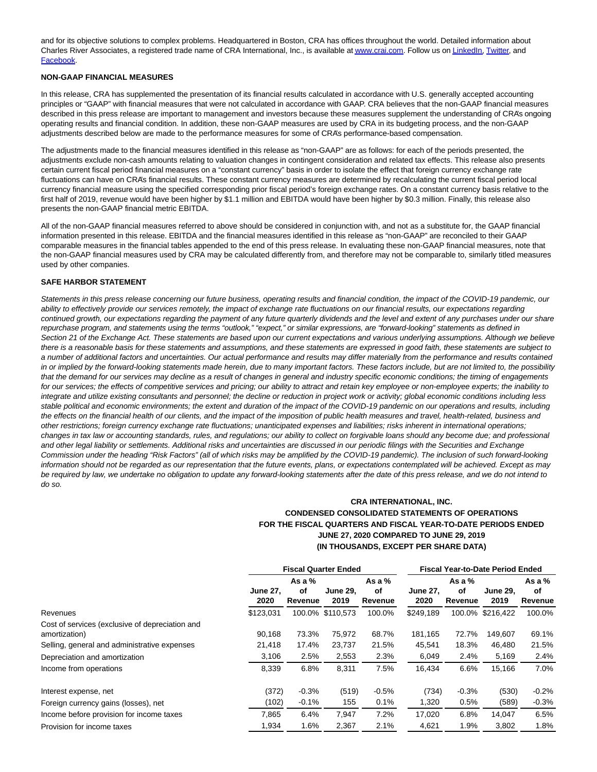and for its objective solutions to complex problems. Headquartered in Boston, CRA has offices throughout the world. Detailed information about Charles River Associates, a registered trade name of CRA International, Inc., is available a[t www.crai.com.](https://cts.businesswire.com/ct/CT?id=smartlink&url=http%3A%2F%2Fwww.crai.com&esheet=52258118&newsitemid=20200730005500&lan=en-US&anchor=www.crai.com&index=11&md5=51582691cff5c32a109ab44521b2852c) Follow us o[n LinkedIn,](https://cts.businesswire.com/ct/CT?id=smartlink&url=https%3A%2F%2Fwww.linkedin.com%2Fcompany%2Fcharles-river-associates&esheet=52258118&newsitemid=20200730005500&lan=en-US&anchor=LinkedIn&index=12&md5=b83ee975ec83065a8ef8f3cfbec4a91f) [Twitter,](https://cts.businesswire.com/ct/CT?id=smartlink&url=https%3A%2F%2Ftwitter.com%2FNews_CRA&esheet=52258118&newsitemid=20200730005500&lan=en-US&anchor=Twitter&index=13&md5=651c62df6904a5e5ed394d6779318b02) and [Facebook.](https://cts.businesswire.com/ct/CT?id=smartlink&url=https%3A%2F%2Fwww.facebook.com%2FCharlesRiverAssociates&esheet=52258118&newsitemid=20200730005500&lan=en-US&anchor=Facebook&index=14&md5=8d0b7488570bc885e0e9c95098fe4368)

#### **NON-GAAP FINANCIAL MEASURES**

In this release, CRA has supplemented the presentation of its financial results calculated in accordance with U.S. generally accepted accounting principles or "GAAP" with financial measures that were not calculated in accordance with GAAP. CRA believes that the non-GAAP financial measures described in this press release are important to management and investors because these measures supplement the understanding of CRA's ongoing operating results and financial condition. In addition, these non-GAAP measures are used by CRA in its budgeting process, and the non-GAAP adjustments described below are made to the performance measures for some of CRA's performance-based compensation.

The adjustments made to the financial measures identified in this release as "non-GAAP" are as follows: for each of the periods presented, the adjustments exclude non-cash amounts relating to valuation changes in contingent consideration and related tax effects. This release also presents certain current fiscal period financial measures on a "constant currency" basis in order to isolate the effect that foreign currency exchange rate fluctuations can have on CRA's financial results. These constant currency measures are determined by recalculating the current fiscal period local currency financial measure using the specified corresponding prior fiscal period's foreign exchange rates. On a constant currency basis relative to the first half of 2019, revenue would have been higher by \$1.1 million and EBITDA would have been higher by \$0.3 million. Finally, this release also presents the non-GAAP financial metric EBITDA.

All of the non-GAAP financial measures referred to above should be considered in conjunction with, and not as a substitute for, the GAAP financial information presented in this release. EBITDA and the financial measures identified in this release as "non-GAAP" are reconciled to their GAAP comparable measures in the financial tables appended to the end of this press release. In evaluating these non-GAAP financial measures, note that the non-GAAP financial measures used by CRA may be calculated differently from, and therefore may not be comparable to, similarly titled measures used by other companies.

#### **SAFE HARBOR STATEMENT**

Statements in this press release concerning our future business, operating results and financial condition, the impact of the COVID-19 pandemic, our ability to effectively provide our services remotely, the impact of exchange rate fluctuations on our financial results, our expectations regarding continued growth, our expectations regarding the payment of any future quarterly dividends and the level and extent of any purchases under our share repurchase program, and statements using the terms "outlook," "expect," or similar expressions, are "forward-looking" statements as defined in Section 21 of the Exchange Act. These statements are based upon our current expectations and various underlying assumptions. Although we believe there is a reasonable basis for these statements and assumptions, and these statements are expressed in good faith, these statements are subject to a number of additional factors and uncertainties. Our actual performance and results may differ materially from the performance and results contained in or implied by the forward-looking statements made herein, due to many important factors. These factors include, but are not limited to, the possibility that the demand for our services may decline as a result of changes in general and industry specific economic conditions; the timing of engagements for our services; the effects of competitive services and pricing; our ability to attract and retain key employee or non-employee experts; the inability to integrate and utilize existing consultants and personnel; the decline or reduction in project work or activity; global economic conditions including less stable political and economic environments; the extent and duration of the impact of the COVID-19 pandemic on our operations and results, including the effects on the financial health of our clients, and the impact of the imposition of public health measures and travel, health-related, business and other restrictions; foreign currency exchange rate fluctuations; unanticipated expenses and liabilities; risks inherent in international operations; changes in tax law or accounting standards, rules, and regulations; our ability to collect on forgivable loans should any become due; and professional and other legal liability or settlements. Additional risks and uncertainties are discussed in our periodic filings with the Securities and Exchange Commission under the heading "Risk Factors" (all of which risks may be amplified by the COVID-19 pandemic). The inclusion of such forward-looking information should not be regarded as our representation that the future events, plans, or expectations contemplated will be achieved. Except as may be required by law, we undertake no obligation to update any forward-looking statements after the date of this press release, and we do not intend to do so.

# **CRA INTERNATIONAL, INC. CONDENSED CONSOLIDATED STATEMENTS OF OPERATIONS FOR THE FISCAL QUARTERS AND FISCAL YEAR-TO-DATE PERIODS ENDED JUNE 27, 2020 COMPARED TO JUNE 29, 2019 (IN THOUSANDS, EXCEPT PER SHARE DATA)**

|                                                                  | <b>Fiscal Quarter Ended</b> | <b>Fiscal Year-to-Date Period Ended</b> |                         |                           |                         |                           |                         |                           |
|------------------------------------------------------------------|-----------------------------|-----------------------------------------|-------------------------|---------------------------|-------------------------|---------------------------|-------------------------|---------------------------|
|                                                                  | <b>June 27.</b><br>2020     | As a $%$<br>οf<br>Revenue               | <b>June 29.</b><br>2019 | As a $%$<br>οf<br>Revenue | <b>June 27,</b><br>2020 | As a $%$<br>оf<br>Revenue | <b>June 29.</b><br>2019 | As a $%$<br>оf<br>Revenue |
| Revenues                                                         | \$123,031                   |                                         | 100.0% \$110.573        | 100.0%                    | \$249,189               |                           | 100.0% \$216.422        | 100.0%                    |
| Cost of services (exclusive of depreciation and<br>amortization) | 90,168                      | 73.3%                                   | 75,972                  | 68.7%                     | 181,165                 | 72.7%                     | 149,607                 | 69.1%                     |
| Selling, general and administrative expenses                     | 21,418                      | 17.4%                                   | 23.737                  | 21.5%                     | 45.541                  | 18.3%                     | 46,480                  | 21.5%                     |
| Depreciation and amortization                                    | 3,106                       | 2.5%                                    | 2,553                   | 2.3%                      | 6,049                   | 2.4%                      | 5,169                   | 2.4%                      |
| Income from operations                                           | 8,339                       | 6.8%                                    | 8,311                   | 7.5%                      | 16,434                  | 6.6%                      | 15,166                  | 7.0%                      |
| Interest expense, net                                            | (372)                       | $-0.3%$                                 | (519)                   | $-0.5%$                   | (734)                   | $-0.3%$                   | (530)                   | $-0.2%$                   |
| Foreign currency gains (losses), net                             | (102)                       | $-0.1%$                                 | 155                     | 0.1%                      | 1,320                   | 0.5%                      | (589)                   | $-0.3%$                   |
| Income before provision for income taxes                         | 7,865                       | 6.4%                                    | 7,947                   | 7.2%                      | 17,020                  | 6.8%                      | 14.047                  | 6.5%                      |
| Provision for income taxes                                       | 1,934                       | 1.6%                                    | 2,367                   | 2.1%                      | 4,621                   | 1.9%                      | 3,802                   | 1.8%                      |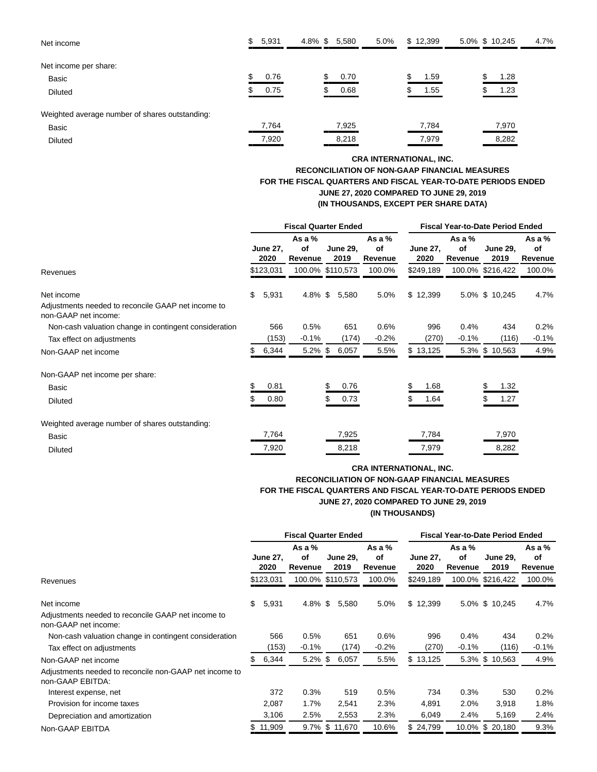| Net income                                     | \$<br>5,931 | 4.8% \$ | 5,580 | 5.0% | \$12,399 | 5.0% \$ 10,245 | 4.7% |
|------------------------------------------------|-------------|---------|-------|------|----------|----------------|------|
| Net income per share:                          |             |         |       |      |          |                |      |
| Basic                                          | 0.76        |         | 0.70  |      | 1.59     | 1.28           |      |
| <b>Diluted</b>                                 | 0.75        |         | 0.68  |      | $1.55 -$ | 1.23           |      |
| Weighted average number of shares outstanding: |             |         |       |      |          |                |      |
| <b>Basic</b>                                   | 7,764       |         | 7,925 |      | 7,784    | 7,970          |      |
| <b>Diluted</b>                                 | 7,920       |         | 8,218 |      | 7,979    | 8,282          |      |

# **CRA INTERNATIONAL, INC. RECONCILIATION OF NON-GAAP FINANCIAL MEASURES FOR THE FISCAL QUARTERS AND FISCAL YEAR-TO-DATE PERIODS ENDED JUNE 27, 2020 COMPARED TO JUNE 29, 2019 (IN THOUSANDS, EXCEPT PER SHARE DATA)**

|                                                                            | <b>Fiscal Quarter Ended</b> |                         |                         |  |                         |                           | <b>Fiscal Year-to-Date Period Ended</b> |                           |                         |                           |  |  |
|----------------------------------------------------------------------------|-----------------------------|-------------------------|-------------------------|--|-------------------------|---------------------------|-----------------------------------------|---------------------------|-------------------------|---------------------------|--|--|
|                                                                            |                             | <b>June 27,</b><br>2020 | As a %<br>Οf<br>Revenue |  | <b>June 29,</b><br>2019 | As a $%$<br>of<br>Revenue | <b>June 27,</b><br>2020                 | As a $%$<br>of<br>Revenue | <b>June 29.</b><br>2019 | As a $%$<br>of<br>Revenue |  |  |
| Revenues                                                                   |                             | \$123,031               | 100.0% \$110,573        |  |                         | 100.0%                    | \$249,189                               |                           | 100.0% \$216,422        | 100.0%                    |  |  |
| Net income                                                                 | \$                          | 5,931                   | 4.8% \$                 |  | 5,580                   | 5.0%                      | \$12,399                                |                           | 5.0% \$ 10,245          | 4.7%                      |  |  |
| Adjustments needed to reconcile GAAP net income to<br>non-GAAP net income: |                             |                         |                         |  |                         |                           |                                         |                           |                         |                           |  |  |
| Non-cash valuation change in contingent consideration                      |                             | 566                     | 0.5%                    |  | 651                     | 0.6%                      | 996                                     | 0.4%                      | 434                     | 0.2%                      |  |  |
| Tax effect on adjustments                                                  |                             | (153)                   | $-0.1%$                 |  | (174)                   | $-0.2%$                   | (270)                                   | $-0.1%$                   | (116)                   | $-0.1%$                   |  |  |
| Non-GAAP net income                                                        |                             | 6,344                   | $5.2\%$ \$              |  | 6,057                   | 5.5%                      | \$13,125                                |                           | 5.3% \$ 10,563          | 4.9%                      |  |  |
| Non-GAAP net income per share:                                             |                             |                         |                         |  |                         |                           |                                         |                           |                         |                           |  |  |
| Basic                                                                      | \$                          | 0.81                    |                         |  | 0.76                    |                           | 1.68                                    |                           | \$<br>1.32              |                           |  |  |
| <b>Diluted</b>                                                             |                             | 0.80                    |                         |  | 0.73                    |                           | 1.64                                    |                           | 1.27                    |                           |  |  |
| Weighted average number of shares outstanding:                             |                             |                         |                         |  |                         |                           |                                         |                           |                         |                           |  |  |
| Basic                                                                      |                             | 7,764                   |                         |  | 7,925                   |                           | 7,784                                   |                           | 7,970                   |                           |  |  |
| <b>Diluted</b>                                                             |                             | 7,920                   |                         |  | 8,218                   |                           | 7,979                                   |                           | 8,282                   |                           |  |  |

# **CRA INTERNATIONAL, INC. RECONCILIATION OF NON-GAAP FINANCIAL MEASURES FOR THE FISCAL QUARTERS AND FISCAL YEAR-TO-DATE PERIODS ENDED JUNE 27, 2020 COMPARED TO JUNE 29, 2019 (IN THOUSANDS)**

|                                                                                                          | <b>Fiscal Quarter Ended</b> |                         |                           |  |                         |                           | <b>Fiscal Year-to-Date Period Ended</b> |                           |                         |                         |  |  |
|----------------------------------------------------------------------------------------------------------|-----------------------------|-------------------------|---------------------------|--|-------------------------|---------------------------|-----------------------------------------|---------------------------|-------------------------|-------------------------|--|--|
|                                                                                                          |                             | <b>June 27.</b><br>2020 | As a $%$<br>οf<br>Revenue |  | <b>June 29.</b><br>2019 | As a $%$<br>of<br>Revenue | <b>June 27.</b><br>2020                 | As a $%$<br>of<br>Revenue | <b>June 29.</b><br>2019 | As a %<br>of<br>Revenue |  |  |
| Revenues                                                                                                 |                             | \$123,031               | 100.0% \$110,573          |  |                         | 100.0%                    | \$249,189                               |                           | 100.0% \$216,422        | 100.0%                  |  |  |
| Net income<br>Adjustments needed to reconcile GAAP net income to<br>non-GAAP net income:                 | \$                          | 5,931                   | $4.8\%$ \$                |  | 5,580                   | 5.0%                      | \$12,399                                |                           | 5.0% \$ 10,245          | 4.7%                    |  |  |
| Non-cash valuation change in contingent consideration<br>Tax effect on adjustments                       |                             | 566<br>(153)            | 0.5%<br>$-0.1%$           |  | 651<br>(174)            | $0.6\%$<br>$-0.2%$        | 996<br>(270)                            | 0.4%<br>$-0.1%$           | 434<br>(116)            | 0.2%<br>$-0.1%$         |  |  |
| Non-GAAP net income<br>Adjustments needed to reconcile non-GAAP net income to                            | \$.                         | 6,344                   | $5.2\%$ \$                |  | 6,057                   | 5.5%                      | \$13,125                                |                           | 5.3% \$ 10,563          | 4.9%                    |  |  |
| non-GAAP EBITDA:<br>Interest expense, net<br>Provision for income taxes<br>Depreciation and amortization |                             | 372<br>2,087<br>3,106   | 0.3%<br>1.7%<br>2.5%      |  | 519<br>2,541<br>2,553   | 0.5%<br>2.3%<br>2.3%      | 734<br>4,891<br>6,049                   | 0.3%<br>2.0%<br>2.4%      | 530<br>3,918<br>5,169   | 0.2%<br>1.8%<br>2.4%    |  |  |
| Non-GAAP EBITDA                                                                                          |                             | \$11,909                |                           |  | 9.7% \$ 11,670          | 10.6%                     | \$24,799                                |                           | 10.0% \$ 20,180         | 9.3%                    |  |  |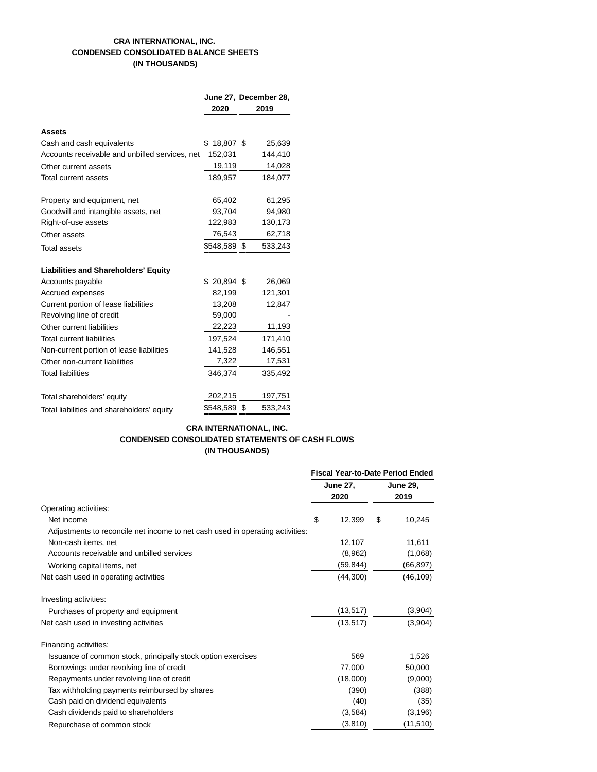# **CRA INTERNATIONAL, INC. CONDENSED CONSOLIDATED BALANCE SHEETS (IN THOUSANDS)**

|                                                |              | June 27, December 28, |
|------------------------------------------------|--------------|-----------------------|
|                                                | 2020         | 2019                  |
|                                                |              |                       |
| Assets                                         |              |                       |
| Cash and cash equivalents                      | $$18,807$ \$ | 25,639                |
| Accounts receivable and unbilled services, net | 152,031      | 144,410               |
| Other current assets                           | 19,119       | 14,028                |
| Total current assets                           | 189,957      | 184,077               |
| Property and equipment, net                    | 65,402       | 61,295                |
| Goodwill and intangible assets, net            | 93,704       | 94,980                |
| Right-of-use assets                            | 122,983      | 130,173               |
| Other assets                                   | 76,543       | 62,718                |
| <b>Total assets</b>                            | \$548,589 \$ | 533,243               |
| <b>Liabilities and Shareholders' Equity</b>    |              |                       |
| Accounts payable                               | $$20,894$ \$ | 26,069                |
| Accrued expenses                               | 82,199       | 121,301               |
| Current portion of lease liabilities           | 13,208       | 12,847                |
| Revolving line of credit                       | 59,000       |                       |
| Other current liabilities                      | 22,223       | 11,193                |
| <b>Total current liabilities</b>               | 197,524      | 171,410               |
| Non-current portion of lease liabilities       | 141,528      | 146,551               |
| Other non-current liabilities                  | 7,322        | 17,531                |
| <b>Total liabilities</b>                       | 346,374      | 335,492               |
| Total shareholders' equity                     | 202,215      | 197,751               |
| Total liabilities and shareholders' equity     | \$548,589    | \$<br>533,243         |

# **CRA INTERNATIONAL, INC. CONDENSED CONSOLIDATED STATEMENTS OF CASH FLOWS (IN THOUSANDS)**

|                                                                               | <b>Fiscal Year-to-Date Period Ended</b> |                         |    |                         |
|-------------------------------------------------------------------------------|-----------------------------------------|-------------------------|----|-------------------------|
|                                                                               |                                         | <b>June 27,</b><br>2020 |    | <b>June 29,</b><br>2019 |
| Operating activities:                                                         |                                         |                         |    |                         |
| Net income                                                                    | \$                                      | 12,399                  | \$ | 10,245                  |
| Adjustments to reconcile net income to net cash used in operating activities: |                                         |                         |    |                         |
| Non-cash items, net                                                           |                                         | 12,107                  |    | 11,611                  |
| Accounts receivable and unbilled services                                     |                                         | (8,962)                 |    | (1,068)                 |
| Working capital items, net                                                    |                                         | (59,844)                |    | (66, 897)               |
| Net cash used in operating activities                                         |                                         | (44,300)                |    | (46, 109)               |
| Investing activities:                                                         |                                         |                         |    |                         |
| Purchases of property and equipment                                           |                                         | (13, 517)               |    | (3,904)                 |
| Net cash used in investing activities                                         |                                         | (13, 517)               |    | (3,904)                 |
| Financing activities:                                                         |                                         |                         |    |                         |
| Issuance of common stock, principally stock option exercises                  |                                         | 569                     |    | 1,526                   |
| Borrowings under revolving line of credit                                     |                                         | 77,000                  |    | 50,000                  |
| Repayments under revolving line of credit                                     |                                         | (18,000)                |    | (9,000)                 |
| Tax withholding payments reimbursed by shares                                 |                                         | (390)                   |    | (388)                   |
| Cash paid on dividend equivalents                                             |                                         | (40)                    |    | (35)                    |
| Cash dividends paid to shareholders                                           |                                         | (3,584)                 |    | (3, 196)                |
| Repurchase of common stock                                                    |                                         | (3, 810)                |    | (11, 510)               |